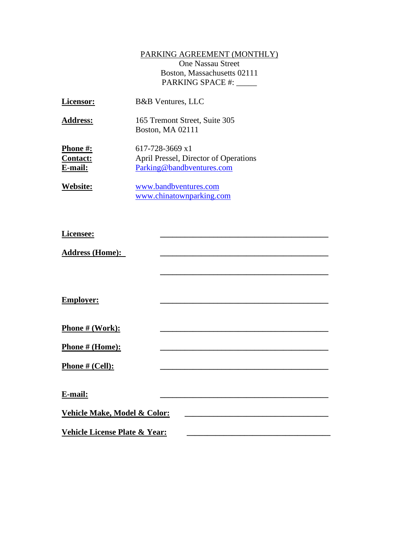## PARKING AGREEMENT (MONTHLY)

One Nassau Street Boston, Massachusetts 02111 PARKING SPACE #: \_\_\_\_\_

| Licensor:                              | <b>B&amp;B</b> Ventures, LLC                                                          |
|----------------------------------------|---------------------------------------------------------------------------------------|
| <b>Address:</b>                        | 165 Tremont Street, Suite 305<br>Boston, MA 02111                                     |
| Phone #:<br><b>Contact:</b><br>E-mail: | 617-728-3669 x1<br>April Pressel, Director of Operations<br>Parking@bandbventures.com |
| Website:                               | www.bandbventures.com<br>www.chinatownparking.com                                     |

| Licensee:                                |  |  |
|------------------------------------------|--|--|
| <b>Address (Home):</b>                   |  |  |
|                                          |  |  |
|                                          |  |  |
| <b>Employer:</b>                         |  |  |
|                                          |  |  |
| Phone # (Work):                          |  |  |
| Phone # (Home):                          |  |  |
| <b>Phone # (Cell):</b>                   |  |  |
|                                          |  |  |
| E-mail:                                  |  |  |
| Vehicle Make, Model & Color:             |  |  |
| <b>Vehicle License Plate &amp; Year:</b> |  |  |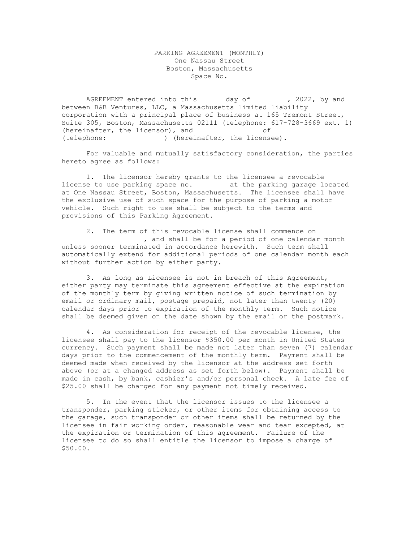## PARKING AGREEMENT (MONTHLY) One Nassau Street Boston, Massachusetts Space No.

AGREEMENT entered into this day of , 2022, by and between B&B Ventures, LLC, a Massachusetts limited liability corporation with a principal place of business at 165 Tremont Street, Suite 305, Boston, Massachusetts 02111 (telephone: 617-728-3669 ext. 1) (hereinafter, the licensor), and of (telephone: ) (hereinafter, the licensee).

For valuable and mutually satisfactory consideration, the parties hereto agree as follows:

1. The licensor hereby grants to the licensee a revocable license to use parking space no. at the parking garage located at One Nassau Street, Boston, Massachusetts. The licensee shall have the exclusive use of such space for the purpose of parking a motor vehicle. Such right to use shall be subject to the terms and provisions of this Parking Agreement.

2. The term of this revocable license shall commence on , and shall be for a period of one calendar month unless sooner terminated in accordance herewith. Such term shall automatically extend for additional periods of one calendar month each without further action by either party.

3. As long as Licensee is not in breach of this Agreement, either party may terminate this agreement effective at the expiration of the monthly term by giving written notice of such termination by email or ordinary mail, postage prepaid, not later than twenty (20) calendar days prior to expiration of the monthly term. Such notice shall be deemed given on the date shown by the email or the postmark.

4. As consideration for receipt of the revocable license, the licensee shall pay to the licensor \$350.00 per month in United States currency. Such payment shall be made not later than seven (7) calendar days prior to the commencement of the monthly term. Payment shall be deemed made when received by the licensor at the address set forth above (or at a changed address as set forth below). Payment shall be made in cash, by bank, cashier's and/or personal check. A late fee of \$25.00 shall be charged for any payment not timely received.

5. In the event that the licensor issues to the licensee a transponder, parking sticker, or other items for obtaining access to the garage, such transponder or other items shall be returned by the licensee in fair working order, reasonable wear and tear excepted, at the expiration or termination of this agreement. Failure of the licensee to do so shall entitle the licensor to impose a charge of \$50.00.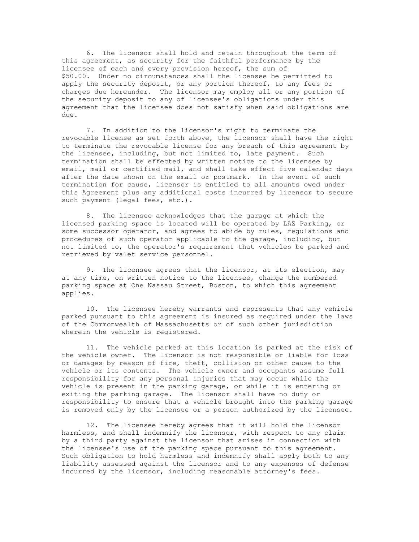6. The licensor shall hold and retain throughout the term of this agreement, as security for the faithful performance by the licensee of each and every provision hereof, the sum of \$50.00. Under no circumstances shall the licensee be permitted to apply the security deposit, or any portion thereof, to any fees or charges due hereunder. The licensor may employ all or any portion of the security deposit to any of licensee's obligations under this agreement that the licensee does not satisfy when said obligations are due.

7. In addition to the licensor's right to terminate the revocable license as set forth above, the licensor shall have the right to terminate the revocable license for any breach of this agreement by the licensee, including, but not limited to, late payment. Such termination shall be effected by written notice to the licensee by email, mail or certified mail, and shall take effect five calendar days after the date shown on the email or postmark. In the event of such termination for cause, licensor is entitled to all amounts owed under this Agreement plus any additional costs incurred by licensor to secure such payment (legal fees, etc.).

8. The licensee acknowledges that the garage at which the licensed parking space is located will be operated by LAZ Parking, or some successor operator, and agrees to abide by rules, regulations and procedures of such operator applicable to the garage, including, but not limited to, the operator's requirement that vehicles be parked and retrieved by valet service personnel.

9. The licensee agrees that the licensor, at its election, may at any time, on written notice to the licensee, change the numbered parking space at One Nassau Street, Boston, to which this agreement applies.

10. The licensee hereby warrants and represents that any vehicle parked pursuant to this agreement is insured as required under the laws of the Commonwealth of Massachusetts or of such other jurisdiction wherein the vehicle is registered.

11. The vehicle parked at this location is parked at the risk of the vehicle owner. The licensor is not responsible or liable for loss or damages by reason of fire, theft, collision or other cause to the vehicle or its contents. The vehicle owner and occupants assume full responsibility for any personal injuries that may occur while the vehicle is present in the parking garage, or while it is entering or exiting the parking garage. The licensor shall have no duty or responsibility to ensure that a vehicle brought into the parking garage is removed only by the licensee or a person authorized by the licensee.

12. The licensee hereby agrees that it will hold the licensor harmless, and shall indemnify the licensor, with respect to any claim by a third party against the licensor that arises in connection with the licensee's use of the parking space pursuant to this agreement. Such obligation to hold harmless and indemnify shall apply both to any liability assessed against the licensor and to any expenses of defense incurred by the licensor, including reasonable attorney's fees.